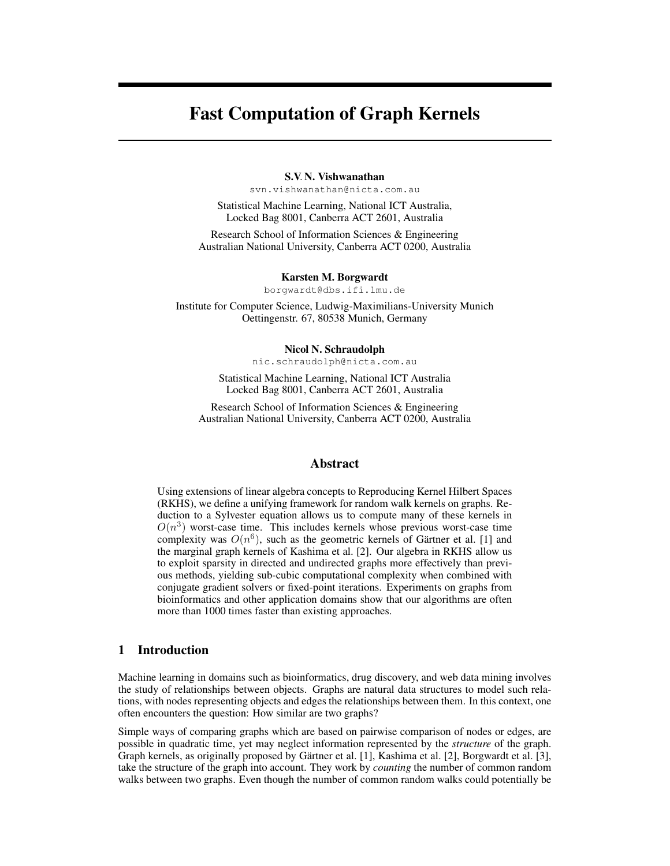# Fast Computation of Graph Kernels

### S.V. N. Vishwanathan

svn.vishwanathan@nicta.com.au

Statistical Machine Learning, National ICT Australia, Locked Bag 8001, Canberra ACT 2601, Australia

Research School of Information Sciences & Engineering Australian National University, Canberra ACT 0200, Australia

#### Karsten M. Borgwardt

borgwardt@dbs.ifi.lmu.de

Institute for Computer Science, Ludwig-Maximilians-University Munich Oettingenstr. 67, 80538 Munich, Germany

#### Nicol N. Schraudolph

nic.schraudolph@nicta.com.au

Statistical Machine Learning, National ICT Australia Locked Bag 8001, Canberra ACT 2601, Australia

Research School of Information Sciences & Engineering Australian National University, Canberra ACT 0200, Australia

## Abstract

Using extensions of linear algebra concepts to Reproducing Kernel Hilbert Spaces (RKHS), we define a unifying framework for random walk kernels on graphs. Reduction to a Sylvester equation allows us to compute many of these kernels in  $O(n^3)$  worst-case time. This includes kernels whose previous worst-case time complexity was  $O(n^6)$ , such as the geometric kernels of Gärtner et al. [1] and the marginal graph kernels of Kashima et al. [2]. Our algebra in RKHS allow us to exploit sparsity in directed and undirected graphs more effectively than previous methods, yielding sub-cubic computational complexity when combined with conjugate gradient solvers or fixed-point iterations. Experiments on graphs from bioinformatics and other application domains show that our algorithms are often more than 1000 times faster than existing approaches.

# 1 Introduction

Machine learning in domains such as bioinformatics, drug discovery, and web data mining involves the study of relationships between objects. Graphs are natural data structures to model such relations, with nodes representing objects and edges the relationships between them. In this context, one often encounters the question: How similar are two graphs?

Simple ways of comparing graphs which are based on pairwise comparison of nodes or edges, are possible in quadratic time, yet may neglect information represented by the *structure* of the graph. Graph kernels, as originally proposed by Gärtner et al. [1], Kashima et al. [2], Borgwardt et al. [3], take the structure of the graph into account. They work by *counting* the number of common random walks between two graphs. Even though the number of common random walks could potentially be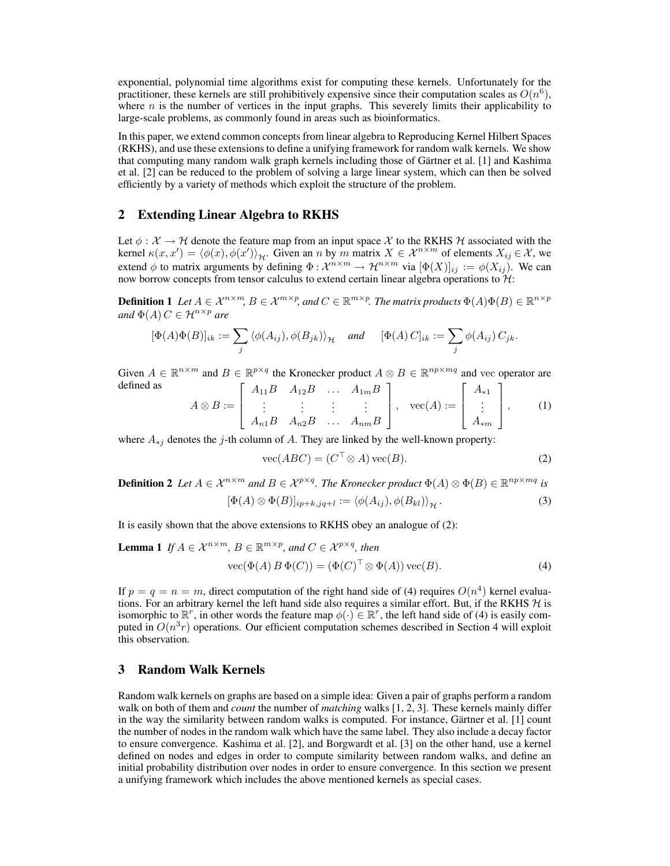exponential, polynomial time algorithms exist for computing these kernels. Unfortunately for the practitioner, these kernels are still prohibitively expensive since their computation scales as  $O(n^6)$ , where  $n$  is the number of vertices in the input graphs. This severely limits their applicability to large-scale problems, as commonly found in areas such as bioinformatics.

In this paper, we extend common concepts from linear algebra to Reproducing Kernel Hilbert Spaces (RKHS), and use these extensions to define a unifying framework for random walk kernels. We show that computing many random walk graph kernels including those of Gartner et al. [1] and Kashima ¨ et al. [2] can be reduced to the problem of solving a large linear system, which can then be solved efficiently by a variety of methods which exploit the structure of the problem.

## 2 Extending Linear Algebra to RKHS

Let  $\phi : \mathcal{X} \to \mathcal{H}$  denote the feature map from an input space X to the RKHS H associated with the kernel  $\kappa(x, x') = \langle \phi(x), \phi(x') \rangle_{\mathcal{H}}$ . Given an n by m matrix  $X \in \mathcal{X}^{n \times m}$  of elements  $X_{ij} \in \mathcal{X}$ , we extend  $\phi$  to matrix arguments by defining  $\Phi : \mathcal{X}^{n \times m} \to \mathcal{H}^{n \times m}$  via  $[\Phi(X)]_{ij} := \phi(X_{ij})$ . We can now borrow concepts from tensor calculus to extend certain linear algebra operations to  $\mathcal{H}$ :

**Definition 1** Let  $A \in \mathcal{X}^{n \times m}$ ,  $B \in \mathcal{X}^{m \times p}$ , and  $C \in \mathbb{R}^{m \times p}$ . The matrix products  $\Phi(A)\Phi(B) \in \mathbb{R}^{n \times p}$  $and \Phi(A) C \in \mathcal{H}^{n \times p}$  are

$$
[\Phi(A)\Phi(B)]_{ik} := \sum_j \langle \phi(A_{ij}), \phi(B_{jk}) \rangle_{\mathcal{H}} \quad \text{and} \quad [\Phi(A) \, C]_{ik} := \sum_j \phi(A_{ij}) \, C_{jk}.
$$

Given  $A \in \mathbb{R}^{n \times m}$  and  $B \in \mathbb{R}^{p \times q}$  the Kronecker product  $A \otimes B \in \mathbb{R}^{np \times mq}$  and vec operator are defined as  $\left[ \begin{array}{cccc} A_{11}B & A_{12}B & \dots & A_{1m}B \end{array} \right]$   $\left[ \begin{array}{cccc} A_{*1} \end{array} \right]$ 

$$
A \otimes B := \left[ \begin{array}{ccc} A_{11}D & A_{12}D & \dots & A_{1m}D \\ \vdots & \vdots & \vdots & \vdots \\ A_{n1}B & A_{n2}B & \dots & A_{nm}B \end{array} \right], \quad \text{vec}(A) := \left[ \begin{array}{c} A_{*1} \\ \vdots \\ A_{*m} \end{array} \right], \qquad (1)
$$

where  $A_{*j}$  denotes the j-th column of A. They are linked by the well-known property:

$$
\text{vec}(ABC) = (C^\top \otimes A)\,\text{vec}(B). \tag{2}
$$

**Definition 2** Let  $A \in \mathcal{X}^{n \times m}$  and  $B \in \mathcal{X}^{p \times q}$ . The Kronecker product  $\Phi(A) \otimes \Phi(B) \in \mathbb{R}^{np \times mq}$  is

$$
[\Phi(A) \otimes \Phi(B)]_{ip+k,jq+l} := \langle \phi(A_{ij}), \phi(B_{kl}) \rangle_{\mathcal{H}}.
$$
\n(3)

It is easily shown that the above extensions to RKHS obey an analogue of (2):

**Lemma 1** If 
$$
A \in \mathcal{X}^{n \times m}
$$
,  $B \in \mathbb{R}^{m \times p}$ , and  $C \in \mathcal{X}^{p \times q}$ , then  
\n
$$
\text{vec}(\Phi(A) B \Phi(C)) = (\Phi(C)^{\top} \otimes \Phi(A)) \text{vec}(B). \tag{4}
$$

If  $p = q = n = m$ , direct computation of the right hand side of (4) requires  $O(n^4)$  kernel evaluations. For an arbitrary kernel the left hand side also requires a similar effort. But, if the RKHS  $H$  is isomorphic to  $\mathbb{R}^r$ , in other words the feature map  $\phi(\cdot) \in \mathbb{R}^r$ , the left hand side of (4) is easily computed in  $O(n^3r)$  operations. Our efficient computation schemes described in Section 4 will exploit this observation.

# 3 Random Walk Kernels

Random walk kernels on graphs are based on a simple idea: Given a pair of graphs perform a random walk on both of them and *count* the number of *matching* walks [1, 2, 3]. These kernels mainly differ in the way the similarity between random walks is computed. For instance, Gärtner et al. [1] count the number of nodes in the random walk which have the same label. They also include a decay factor to ensure convergence. Kashima et al. [2], and Borgwardt et al. [3] on the other hand, use a kernel defined on nodes and edges in order to compute similarity between random walks, and define an initial probability distribution over nodes in order to ensure convergence. In this section we present a unifying framework which includes the above mentioned kernels as special cases.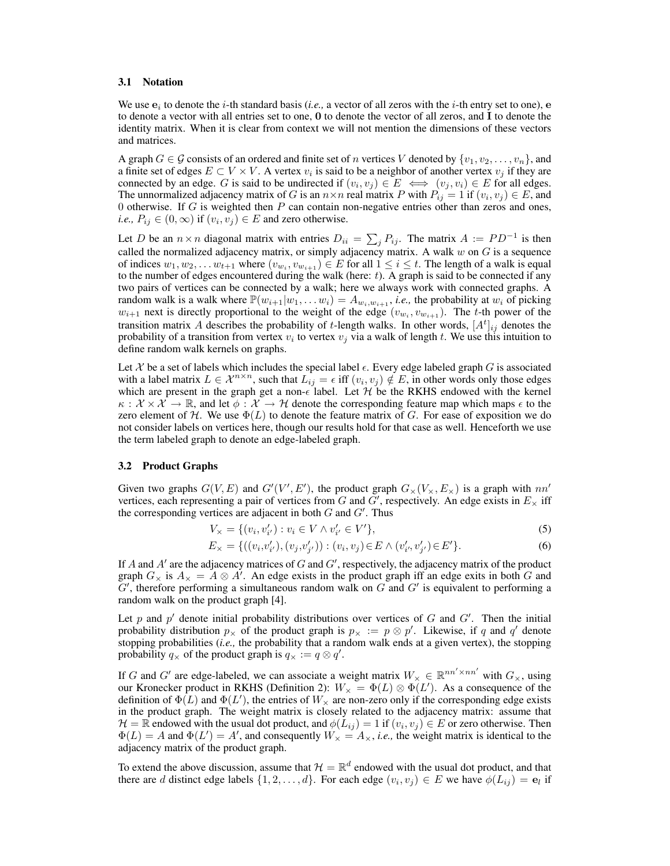#### 3.1 Notation

We use  $e_i$  to denote the *i*-th standard basis (*i.e.*, a vector of all zeros with the *i*-th entry set to one),  $e$ to denote a vector with all entries set to one, 0 to denote the vector of all zeros, and I to denote the identity matrix. When it is clear from context we will not mention the dimensions of these vectors and matrices.

A graph  $G \in \mathcal{G}$  consists of an ordered and finite set of n vertices V denoted by  $\{v_1, v_2, \dots, v_n\}$ , and a finite set of edges  $E \subset V \times V$ . A vertex  $v_i$  is said to be a neighbor of another vertex  $v_j$  if they are connected by an edge. G is said to be undirected if  $(v_i, v_j) \in E \iff (v_j, v_i) \in E$  for all edges. The unnormalized adjacency matrix of G is an  $n \times n$  real matrix P with  $P_{ij} = 1$  if  $(v_i, v_j) \in E$ , and 0 otherwise. If  $G$  is weighted then  $P$  can contain non-negative entries other than zeros and ones, *i.e.*,  $P_{ij} \in (0, \infty)$  if  $(v_i, v_j) \in E$  and zero otherwise.

Let D be an  $n \times n$  diagonal matrix with entries  $D_{ii} = \sum_j P_{ij}$ . The matrix  $A := PD^{-1}$  is then called the normalized adjacency matrix, or simply adjacency matrix. A walk  $w$  on  $G$  is a sequence of indices  $w_1, w_2, \dots w_{t+1}$  where  $(v_{w_i}, v_{w_{i+1}}) \in E$  for all  $1 \leq i \leq t$ . The length of a walk is equal to the number of edges encountered during the walk (here:  $t$ ). A graph is said to be connected if any two pairs of vertices can be connected by a walk; here we always work with connected graphs. A random walk is a walk where  $\mathbb{P}(w_{i+1}|w_1,\ldots w_i) = A_{w_i,w_{i+1}}$ , *i.e.*, the probability at  $w_i$  of picking  $w_{i+1}$  next is directly proportional to the weight of the edge  $(v_{w_i}, v_{w_{i+1}})$ . The t-th power of the transition matrix A describes the probability of t-length walks. In other words,  $[A^t]_{ij}$  denotes the probability of a transition from vertex  $v_i$  to vertex  $v_j$  via a walk of length t. We use this intuition to define random walk kernels on graphs.

Let X be a set of labels which includes the special label  $\epsilon$ . Every edge labeled graph G is associated with a label matrix  $L \in \mathcal{X}^{n \times n}$ , such that  $L_{ij} = \epsilon$  iff  $(v_i, v_j) \notin E$ , in other words only those edges which are present in the graph get a non- $\epsilon$  label. Let  $H$  be the RKHS endowed with the kernel  $\kappa : \mathcal{X} \times \mathcal{X} \to \mathbb{R}$ , and let  $\phi : \mathcal{X} \to \mathcal{H}$  denote the corresponding feature map which maps  $\epsilon$  to the zero element of  $H$ . We use  $\Phi(L)$  to denote the feature matrix of G. For ease of exposition we do not consider labels on vertices here, though our results hold for that case as well. Henceforth we use the term labeled graph to denote an edge-labeled graph.

#### 3.2 Product Graphs

Given two graphs  $G(V, E)$  and  $G'(V', E')$ , the product graph  $G_{\times}(V_{\times}, E_{\times})$  is a graph with  $nn'$ vertices, each representing a pair of vertices from G and G', respectively. An edge exists in  $E_{\times}$  iff the corresponding vertices are adjacent in both  $G$  and  $G'$ . Thus

$$
V_{\times} = \{ (v_i, v'_{i'}) : v_i \in V \wedge v'_{i'} \in V' \},\tag{5}
$$

$$
E_{\times} = \{((v_i, v'_{i'}), (v_j, v'_{j'})): (v_i, v_j) \in E \land (v'_{i'}, v'_{j'}) \in E'\}.
$$
\n
$$
(6)
$$

If  $A$  and  $A'$  are the adjacency matrices of  $G$  and  $G'$ , respectively, the adjacency matrix of the product graph  $G_\times$  is  $A_\times = A \otimes A'$ . An edge exists in the product graph iff an edge exits in both G and  $G'$ , therefore performing a simultaneous random walk on  $G$  and  $G'$  is equivalent to performing a random walk on the product graph [4].

Let p and  $p'$  denote initial probability distributions over vertices of G and  $G'$ . Then the initial probability distribution  $p_{\times}$  of the product graph is  $p_{\times} := p \otimes p'$ . Likewise, if q and q' denote stopping probabilities (*i.e.,* the probability that a random walk ends at a given vertex), the stopping probability  $q_{\times}$  of the product graph is  $q_{\times} := q \otimes q'$ .

If G and G' are edge-labeled, we can associate a weight matrix  $W_\times \in \mathbb{R}^{nn' \times nn'}$  with  $G_\times$ , using our Kronecker product in RKHS (Definition 2):  $W_{\times} = \Phi(L) \otimes \Phi(L')$ . As a consequence of the definition of  $\Phi(L)$  and  $\Phi(L')$ , the entries of  $W_{\times}$  are non-zero only if the corresponding edge exists in the product graph. The weight matrix is closely related to the adjacency matrix: assume that  $\mathcal{H} = \mathbb{R}$  endowed with the usual dot product, and  $\phi(L_{ij}) = 1$  if  $(v_i, v_j) \in E$  or zero otherwise. Then  $\Phi(L) = A$  and  $\Phi(L') = A'$ , and consequently  $W_x = A_x$ , *i.e.*, the weight matrix is identical to the adjacency matrix of the product graph.

To extend the above discussion, assume that  $\mathcal{H} = \mathbb{R}^d$  endowed with the usual dot product, and that there are d distinct edge labels  $\{1, 2, \ldots, d\}$ . For each edge  $(v_i, v_j) \in E$  we have  $\phi(L_{ij}) = \mathbf{e}_l$  if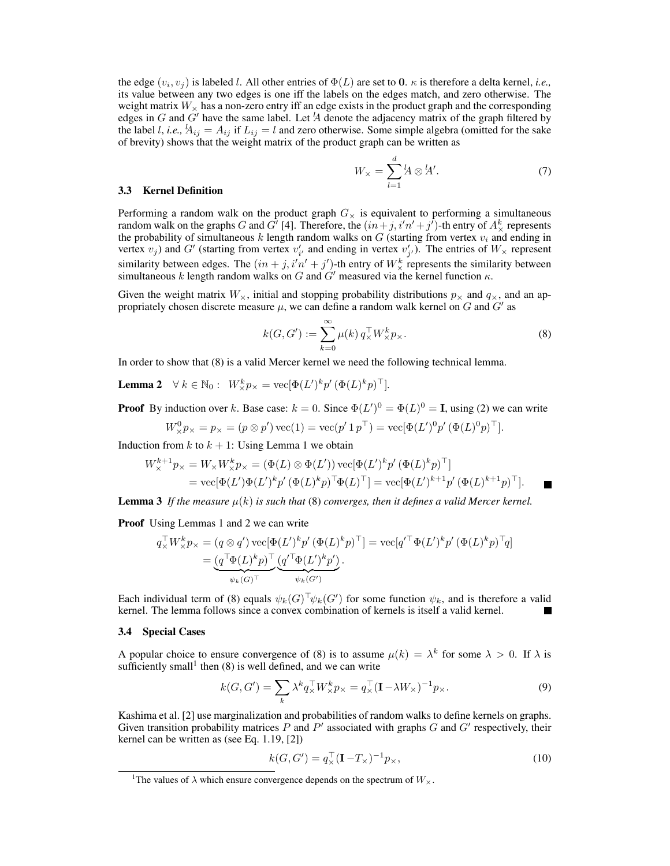the edge  $(v_i, v_j)$  is labeled l. All other entries of  $\Phi(L)$  are set to 0.  $\kappa$  is therefore a delta kernel, *i.e.*, its value between any two edges is one iff the labels on the edges match, and zero otherwise. The weight matrix  $W_{\rm x}$  has a non-zero entry iff an edge exists in the product graph and the corresponding edges in G and G' have the same label. Let  $A$  denote the adjacency matrix of the graph filtered by the label l, i.e.,  $A_{ij} = A_{ij}$  if  $L_{ij} = l$  and zero otherwise. Some simple algebra (omitted for the sake of brevity) shows that the weight matrix of the product graph can be written as

$$
W_{\times} = \sum_{l=1}^{d} \mathcal{U} \otimes \mathcal{U}'.
$$
 (7)

#### 3.3 Kernel Definition

Performing a random walk on the product graph  $G_{\times}$  is equivalent to performing a simultaneous random walk on the graphs G and G<sup>'</sup> [4]. Therefore, the  $(in+j, i'n'+j')$ -th entry of  $A^k_{\times}$  represents the probability of simultaneous  $k$  length random walks on  $G$  (starting from vertex  $v_i$  and ending in vertex  $v_j$ ) and G' (starting from vertex  $v'_{i'}$  and ending in vertex  $v'_{j'}$ ). The entries of  $W_\times$  represent similarity between edges. The  $(in + j, i'n' + j')$ -th entry of  $W^k_{\times}$  represents the similarity between simultaneous k length random walks on G and  $G'$  measured via the kernel function  $\kappa$ .

Given the weight matrix  $W_{\times}$ , initial and stopping probability distributions  $p_{\times}$  and  $q_{\times}$ , and an appropriately chosen discrete measure  $\mu$ , we can define a random walk kernel on G and G' as

$$
k(G, G') := \sum_{k=0}^{\infty} \mu(k) q_{\times}^{\top} W_{\times}^k p_{\times}.
$$
 (8)

In order to show that (8) is a valid Mercer kernel we need the following technical lemma.

**Lemma 2**  $\forall k \in \mathbb{N}_0: W_{\times}^k p_{\times} = \text{vec}[\Phi(L')^k p' (\Phi(L)^k p)^\top].$ 

**Proof** By induction over k. Base case:  $k = 0$ . Since  $\Phi(L')^0 = \Phi(L)^0 = I$ , using (2) we can write

$$
W^0_{\times} p_{\times} = p_{\times} = (p \otimes p') \operatorname{vec}(1) = \operatorname{vec}(p' 1 p^{\top}) = \operatorname{vec}[\Phi(L')^0 p' (\Phi(L)^0 p)^{\top}].
$$

Induction from  $k$  to  $k + 1$ : Using Lemma 1 we obtain

$$
W_{\times}^{k+1} p_{\times} = W_{\times} W_{\times}^{k} p_{\times} = (\Phi(L) \otimes \Phi(L')) \operatorname{vec}[\Phi(L')^{k} p' (\Phi(L)^{k} p)^{\top}]
$$
  
= 
$$
\operatorname{vec}[\Phi(L')\Phi(L')^{k} p' (\Phi(L)^{k} p)^{\top} \Phi(L)^{\top}] = \operatorname{vec}[\Phi(L')^{k+1} p' (\Phi(L)^{k+1} p)^{\top}].
$$

**Lemma 3** If the measure  $\mu(k)$  is such that (8) converges, then it defines a valid Mercer kernel.

Proof Using Lemmas 1 and 2 we can write

$$
q_{\times}^{\top} W_{\times}^k p_{\times} = (q \otimes q') \operatorname{vec}[\Phi(L')^k p' (\Phi(L)^k p)^{\top}] = \operatorname{vec}[q'^{\top} \Phi(L')^k p' (\Phi(L)^k p)^{\top} q]
$$

$$
= \underbrace{(q^{\top} \Phi(L)^k p)^{\top}}_{\psi_k(G)^{\top}} \underbrace{(q'^{\top} \Phi(L')^k p')}_{\psi_k(G')}.
$$

Each individual term of (8) equals  $\psi_k(G)^\top \psi_k(G')$  for some function  $\psi_k$ , and is therefore a valid kernel. The lemma follows since a convex combination of kernels is itself a valid kernel.

#### 3.4 Special Cases

A popular choice to ensure convergence of (8) is to assume  $\mu(k) = \lambda^k$  for some  $\lambda > 0$ . If  $\lambda$  is sufficiently small<sup>1</sup> then  $(8)$  is well defined, and we can write

$$
k(G, G') = \sum_{k} \lambda^{k} q_{\times}^{\top} W_{\times}^{k} p_{\times} = q_{\times}^{\top} (\mathbf{I} - \lambda W_{\times})^{-1} p_{\times}.
$$
 (9)

Kashima et al. [2] use marginalization and probabilities of random walks to define kernels on graphs. Given transition probability matrices  $P$  and  $P'$  associated with graphs  $G$  and  $G'$  respectively, their kernel can be written as (see Eq. 1.19, [2])

$$
k(G, G') = q_{\times}^{\top} (\mathbf{I} - T_{\times})^{-1} p_{\times},
$$
\n(10)

<sup>&</sup>lt;sup>1</sup>The values of  $\lambda$  which ensure convergence depends on the spectrum of  $W_{\lambda}$ .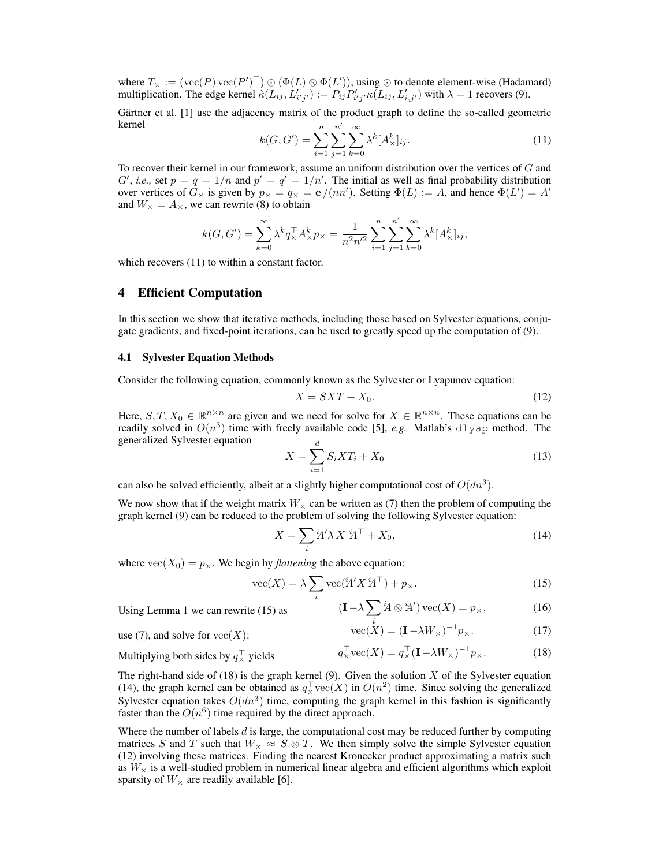where  $T_\times := (\text{vec}(P) \text{vec}(P')^\top) \odot (\Phi(L) \otimes \Phi(L'))$ , using  $\odot$  to denote element-wise (Hadamard) multiplication. The edge kernel  $\hat{\kappa}(L_{ij}, L'_{i'j'}) := P_{ij} P'_{i'j'} \kappa(L_{ij}, L'_{i,j'})$  with  $\lambda = 1$  recovers (9).

Gärtner et al. [1] use the adjacency matrix of the product graph to define the so-called geometric kernel n

$$
k(G, G') = \sum_{i=1}^{n} \sum_{j=1}^{n'} \sum_{k=0}^{\infty} \lambda^{k} [A_{\times}^{k}]_{ij}.
$$
 (11)

To recover their kernel in our framework, assume an uniform distribution over the vertices of G and  $G'$ , *i.e.*, set  $p = q = 1/n$  and  $p' = q' = 1/n'$ . The initial as well as final probability distribution over vertices of  $G_\times$  is given by  $p_\times = q_\times = e/(nn')$ . Setting  $\Phi(L) := A$ , and hence  $\Phi(L') = A'$ and  $W_{\times} = A_{\times}$ , we can rewrite (8) to obtain

$$
k(G, G') = \sum_{k=0}^{\infty} \lambda^k q_{\times}^{\top} A_{\times}^k p_{\times} = \frac{1}{n^2 n'^2} \sum_{i=1}^n \sum_{j=1}^{n'} \sum_{k=0}^{\infty} \lambda^k [A_{\times}^k]_{ij},
$$

which recovers  $(11)$  to within a constant factor.

## 4 Efficient Computation

In this section we show that iterative methods, including those based on Sylvester equations, conjugate gradients, and fixed-point iterations, can be used to greatly speed up the computation of (9).

### 4.1 Sylvester Equation Methods

Consider the following equation, commonly known as the Sylvester or Lyapunov equation:

$$
X = SXT + X_0. \tag{12}
$$

Here,  $S, T, X_0 \in \mathbb{R}^{n \times n}$  are given and we need for solve for  $X \in \mathbb{R}^{n \times n}$ . These equations can be readily solved in  $O(n^3)$  time with freely available code [5], *e.g.* Matlab's  $dlyap$  method. The generalized Sylvester equation d

$$
X = \sum_{i=1}^{a} S_i X T_i + X_0 \tag{13}
$$

can also be solved efficiently, albeit at a slightly higher computational cost of  $O(dn^3)$ .

We now show that if the weight matrix  $W_{\times}$  can be written as (7) then the problem of computing the graph kernel (9) can be reduced to the problem of solving the following Sylvester equation:

$$
X = \sum_{i} \dot{\mathbf{A}}' \lambda \, X \, \dot{\mathbf{A}}^{\top} + X_0,\tag{14}
$$

where  $\text{vec}(X_0) = p_{\times}$ . We begin by *flattening* the above equation:

$$
\text{vec}(X) = \lambda \sum_{i} \text{vec}(\mathbf{\dot{A}}' X \mathbf{\dot{A}}^{\top}) + p_{\times}.
$$
 (15)

Using Lemma 1 we can rewrite  $(15)$  as

$$
i \qquad (\mathbf{I} - \lambda \sum_{i} {}^{i}A \otimes {}^{i}A') \operatorname{vec}(X) = p_{\times}, \qquad (16)
$$

$$
\operatorname{vec}(X) = (\mathbf{I} - \lambda W_{\times})^{-1} p_{\times}. \qquad (17)
$$

$$
se(7), and solve for vec(X):
$$

Multiplying both sides by 
$$
q_{\times}^{\top}
$$
 yields  $q_{\times}^{\top}$ vec $(X) = q_{\times}^{\top} (\mathbf{I} - \lambda W_{\times})^{-1} p_{\times}$ . (18)

The right-hand side of  $(18)$  is the graph kernel  $(9)$ . Given the solution X of the Sylvester equation (14), the graph kernel can be obtained as  $q_{\times}^{\top} \text{vec}(X)$  in  $O(n^2)$  time. Since solving the generalized Sylvester equation takes  $O(dn^3)$  time, computing the graph kernel in this fashion is significantly faster than the  $O(n^6)$  time required by the direct approach.

Where the number of labels  $d$  is large, the computational cost may be reduced further by computing matrices S and T such that  $W_{\times} \approx S \otimes T$ . We then simply solve the simple Sylvester equation (12) involving these matrices. Finding the nearest Kronecker product approximating a matrix such as  $W_{\times}$  is a well-studied problem in numerical linear algebra and efficient algorithms which exploit sparsity of  $W_\times$  are readily available [6].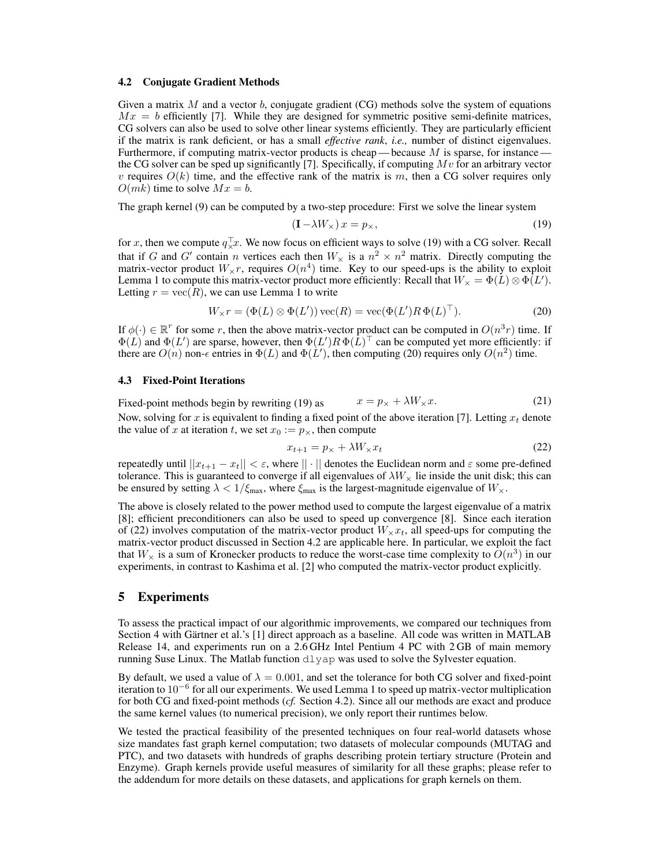## 4.2 Conjugate Gradient Methods

Given a matrix  $M$  and a vector  $b$ , conjugate gradient (CG) methods solve the system of equations  $Mx = b$  efficiently [7]. While they are designed for symmetric positive semi-definite matrices, CG solvers can also be used to solve other linear systems efficiently. They are particularly efficient if the matrix is rank deficient, or has a small *effective rank*, *i.e.,* number of distinct eigenvalues. Furthermore, if computing matrix-vector products is cheap — because  $M$  is sparse, for instance the CG solver can be sped up significantly [7]. Specifically, if computing  $Mv$  for an arbitrary vector v requires  $O(k)$  time, and the effective rank of the matrix is m, then a CG solver requires only  $O(mk)$  time to solve  $Mx = b$ .

The graph kernel (9) can be computed by a two-step procedure: First we solve the linear system

$$
(\mathbf{I} - \lambda W_{\times}) x = p_{\times}, \tag{19}
$$

for x, then we compute  $q_{\times}^{\top}x$ . We now focus on efficient ways to solve (19) with a CG solver. Recall that if G and G' contain n vertices each then  $W_{\times}$  is a  $n^2 \times n^2$  matrix. Directly computing the matrix-vector product  $W_\times r$ , requires  $O(n^4)$  time. Key to our speed-ups is the ability to exploit Lemma 1 to compute this matrix-vector product more efficiently: Recall that  $W_{\times} = \Phi(L) \otimes \Phi(L')$ . Letting  $r = \text{vec}(R)$ , we can use Lemma 1 to write

$$
W_{\times}r = (\Phi(L) \otimes \Phi(L')) \operatorname{vec}(R) = \operatorname{vec}(\Phi(L')R\,\Phi(L)^{\top}).
$$
 (20)

If  $\phi(\cdot) \in \mathbb{R}^r$  for some r, then the above matrix-vector product can be computed in  $O(n^3r)$  time. If  $\Phi(L)$  and  $\Phi(L')$  are sparse, however, then  $\Phi(L')R\Phi(L)^{\top}$  can be computed yet more efficiently: if there are  $O(n)$  non- $\epsilon$  entries in  $\Phi(L)$  and  $\Phi(L')$ , then computing (20) requires only  $O(n^2)$  time.

### 4.3 Fixed-Point Iterations

Fixed-point methods begin by rewriting (19) as  $x = p_x + \lambda W_x x$ . (21)

Now, solving for x is equivalent to finding a fixed point of the above iteration [7]. Letting  $x_t$  denote the value of x at iteration t, we set  $x_0 := p_{\times}$ , then compute

$$
x_{t+1} = p_{\times} + \lambda W_{\times} x_t \tag{22}
$$

repeatedly until  $||x_{t+1} - x_t|| < \varepsilon$ , where  $|| \cdot ||$  denotes the Euclidean norm and  $\varepsilon$  some pre-defined tolerance. This is guaranteed to converge if all eigenvalues of  $\lambda W_{\times}$  lie inside the unit disk; this can be ensured by setting  $\lambda < 1/\xi_{\text{max}}$ , where  $\xi_{\text{max}}$  is the largest-magnitude eigenvalue of  $W_{\lambda}$ .

The above is closely related to the power method used to compute the largest eigenvalue of a matrix [8]; efficient preconditioners can also be used to speed up convergence [8]. Since each iteration of (22) involves computation of the matrix-vector product  $W_{\times}x_t$ , all speed-ups for computing the matrix-vector product discussed in Section 4.2 are applicable here. In particular, we exploit the fact that  $W_{\times}$  is a sum of Kronecker products to reduce the worst-case time complexity to  $O(n^3)$  in our experiments, in contrast to Kashima et al. [2] who computed the matrix-vector product explicitly.

## 5 Experiments

To assess the practical impact of our algorithmic improvements, we compared our techniques from Section 4 with Gärtner et al.'s [1] direct approach as a baseline. All code was written in MATLAB Release 14, and experiments run on a 2.6 GHz Intel Pentium 4 PC with 2 GB of main memory running Suse Linux. The Matlab function  $dlyap$  was used to solve the Sylvester equation.

By default, we used a value of  $\lambda = 0.001$ , and set the tolerance for both CG solver and fixed-point iteration to 10<sup>−</sup><sup>6</sup> for all our experiments. We used Lemma 1 to speed up matrix-vector multiplication for both CG and fixed-point methods (*cf.* Section 4.2). Since all our methods are exact and produce the same kernel values (to numerical precision), we only report their runtimes below.

We tested the practical feasibility of the presented techniques on four real-world datasets whose size mandates fast graph kernel computation; two datasets of molecular compounds (MUTAG and PTC), and two datasets with hundreds of graphs describing protein tertiary structure (Protein and Enzyme). Graph kernels provide useful measures of similarity for all these graphs; please refer to the addendum for more details on these datasets, and applications for graph kernels on them.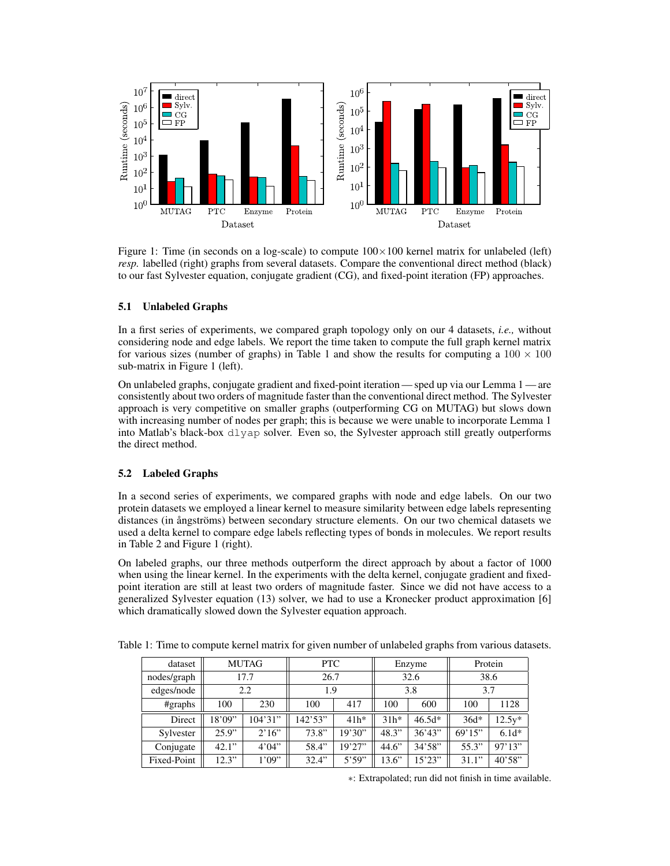

Figure 1: Time (in seconds on a log-scale) to compute  $100\times100$  kernel matrix for unlabeled (left) *resp.* labelled (right) graphs from several datasets. Compare the conventional direct method (black) to our fast Sylvester equation, conjugate gradient (CG), and fixed-point iteration (FP) approaches.

## 5.1 Unlabeled Graphs

In a first series of experiments, we compared graph topology only on our 4 datasets, *i.e.,* without considering node and edge labels. We report the time taken to compute the full graph kernel matrix for various sizes (number of graphs) in Table 1 and show the results for computing a  $100 \times 100$ sub-matrix in Figure 1 (left).

On unlabeled graphs, conjugate gradient and fixed-point iteration — sped up via our Lemma 1 — are consistently about two orders of magnitude faster than the conventional direct method. The Sylvester approach is very competitive on smaller graphs (outperforming CG on MUTAG) but slows down with increasing number of nodes per graph; this is because we were unable to incorporate Lemma 1 into Matlab's black-box dlyap solver. Even so, the Sylvester approach still greatly outperforms the direct method.

## 5.2 Labeled Graphs

In a second series of experiments, we compared graphs with node and edge labels. On our two protein datasets we employed a linear kernel to measure similarity between edge labels representing distances (in ångströms) between secondary structure elements. On our two chemical datasets we used a delta kernel to compare edge labels reflecting types of bonds in molecules. We report results in Table 2 and Figure 1 (right).

On labeled graphs, our three methods outperform the direct approach by about a factor of 1000 when using the linear kernel. In the experiments with the delta kernel, conjugate gradient and fixedpoint iteration are still at least two orders of magnitude faster. Since we did not have access to a generalized Sylvester equation (13) solver, we had to use a Kronecker product approximation [6] which dramatically slowed down the Sylvester equation approach.

| dataset     | <b>MUTAG</b> |         | <b>PTC</b> |         | Enzyme |          | Protein |          |
|-------------|--------------|---------|------------|---------|--------|----------|---------|----------|
| nodes/graph | 17.7         |         | 26.7       |         | 32.6   |          | 38.6    |          |
| edges/node  | 2.2          |         | 1.9        |         | 3.8    |          | 3.7     |          |
| #graphs     | 100          | 230     | 100        | 417     | 100    | 600      | 100     | 1128     |
| Direct      | 18'09''      | 104'31' | 142'53''   | $41h*$  | $31h*$ | $46.5d*$ | $36d*$  | $12.5y*$ |
| Sylvester   | 25.9"        | 2'16"   | 73.8"      | 19'30"  | 48.3"  | 36'43"   | 69'15"  | $6.1d*$  |
| Conjugate   | 42.1"        | 4'04"   | 58.4"      | 19'27'' | 44.6"  | 34'58''  | 55.3"   | 97'13''  |
| Fixed-Point | 12.3"        | 1'09"   | 32.4"      | 5'59''  | 13.6"  | 15'23''  | 31.1"   | 40'58"   |

Table 1: Time to compute kernel matrix for given number of unlabeled graphs from various datasets.

∗: Extrapolated; run did not finish in time available.